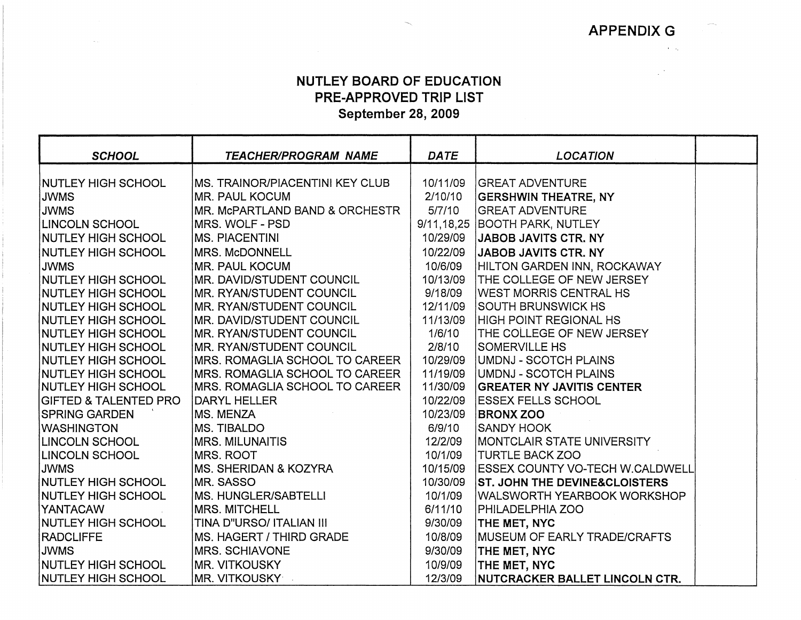APPENDIX G

 $\sim 10^{11}$  kg  $^{-1}$ 

 $\mathbb{R}^{|\mathcal{A}|}$ 

## NUTLEY BOARD OF EDUCATION PRE-APPROVED TRIP LIST September 28, 2009

| <b>SCHOOL</b>                                           | <b>TEACHER/PROGRAM NAME</b>                                         | <b>DATE</b>         | <b>LOCATION</b>                                          |  |
|---------------------------------------------------------|---------------------------------------------------------------------|---------------------|----------------------------------------------------------|--|
| <b>NUTLEY HIGH SCHOOL</b>                               | IMS. TRAINOR/PIACENTINI KEY CLUB                                    | 10/11/09            | <b>GREAT ADVENTURE</b>                                   |  |
| <b>JWMS</b>                                             | <b>MR. PAUL KOCUM</b>                                               | 2/10/10             | <b>GERSHWIN THEATRE, NY</b>                              |  |
| <b>JWMS</b>                                             | MR. MCPARTLAND BAND & ORCHESTR                                      | 5/7/10              | <b>GREAT ADVENTURE</b>                                   |  |
| <b>LINCOLN SCHOOL</b>                                   | IMRS. WOLF - PSD                                                    | 9/11, 18, 25        | <b>BOOTH PARK, NUTLEY</b>                                |  |
| <b>NUTLEY HIGH SCHOOL</b>                               | <b>MS. PIACENTINI</b>                                               | 10/29/09            | <b>JABOB JAVITS CTR. NY</b>                              |  |
|                                                         |                                                                     |                     |                                                          |  |
| <b>NUTLEY HIGH SCHOOL</b>                               | <b>MRS. McDONNELL</b>                                               | 10/22/09            | JABOB JAVITS CTR. NY                                     |  |
| <b>JWMS</b>                                             | <b>MR. PAUL KOCUM</b>                                               | 10/6/09<br>10/13/09 | HILTON GARDEN INN, ROCKAWAY<br>THE COLLEGE OF NEW JERSEY |  |
| <b>NUTLEY HIGH SCHOOL</b>                               | <b>MR. DAVID/STUDENT COUNCIL</b><br><b>MR. RYAN/STUDENT COUNCIL</b> | 9/18/09             | <b>WEST MORRIS CENTRAL HS</b>                            |  |
| <b>NUTLEY HIGH SCHOOL</b><br><b>INUTLEY HIGH SCHOOL</b> | <b>MR. RYAN/STUDENT COUNCIL</b>                                     | 12/11/09            | <b>SOUTH BRUNSWICK HS</b>                                |  |
| <b>NUTLEY HIGH SCHOOL</b>                               | MR. DAVID/STUDENT COUNCIL                                           | 11/13/09            | HIGH POINT REGIONAL HS                                   |  |
| <b>NUTLEY HIGH SCHOOL</b>                               | <b>MR. RYAN/STUDENT COUNCIL</b>                                     | 1/6/10              | THE COLLEGE OF NEW JERSEY                                |  |
| <b>NUTLEY HIGH SCHOOL</b>                               | <b>MR. RYAN/STUDENT COUNCIL</b>                                     | 2/8/10              | <b>SOMERVILLE HS</b>                                     |  |
| INUTLEY HIGH SCHOOL                                     | MRS. ROMAGLIA SCHOOL TO CAREER                                      | 10/29/09            | UMDNJ - SCOTCH PLAINS                                    |  |
| <b>NUTLEY HIGH SCHOOL</b>                               | MRS. ROMAGLIA SCHOOL TO CAREER                                      | 11/19/09            | UMDNJ - SCOTCH PLAINS                                    |  |
| <b>NUTLEY HIGH SCHOOL</b>                               | <b>MRS. ROMAGLIA SCHOOL TO CAREER</b>                               | 11/30/09            | <b>GREATER NY JAVITIS CENTER</b>                         |  |
| <b>GIFTED &amp; TALENTED PRO</b>                        | DARYL HELLER                                                        | 10/22/09            | <b>ESSEX FELLS SCHOOL</b>                                |  |
| <b>SPRING GARDEN</b>                                    | <b>MS. MENZA</b>                                                    | 10/23/09            | <b>BRONX ZOO</b>                                         |  |
| <b>WASHINGTON</b>                                       | MS. TIBALDO                                                         | 6/9/10              | <b>SANDY HOOK</b>                                        |  |
| <b>LINCOLN SCHOOL</b>                                   | MRS. MILUNAITIS                                                     | 12/2/09             | <b>IMONTCLAIR STATE UNIVERSITY</b>                       |  |
| <b>LINCOLN SCHOOL</b>                                   | <b>MRS. ROOT</b>                                                    | 10/1/09             | <b>TURTLE BACK ZOO</b>                                   |  |
| <b>JWMS</b>                                             | <b>IMS. SHERIDAN &amp; KOZYRA</b>                                   | 10/15/09            | ESSEX COUNTY VO-TECH W.CALDWELL                          |  |
| NUTLEY HIGH SCHOOL                                      | <b>MR. SASSO</b>                                                    | 10/30/09            | <b>ST. JOHN THE DEVINE&amp;CLOISTERS</b>                 |  |
| NUTLEY HIGH SCHOOL                                      | IMS. HUNGLER/SABTELLI                                               | 10/1/09             | WALSWORTH YEARBOOK WORKSHOP                              |  |
| <b>YANTACAW</b>                                         | <b>MRS. MITCHELL</b>                                                | 6/11/10             | PHILADELPHIA ZOO                                         |  |
| <b>NUTLEY HIGH SCHOOL</b>                               | TINA D"URSO/ ITALIAN III                                            | 9/30/09             | THE MET, NYC                                             |  |
| <b>RADCLIFFE</b>                                        | <b>MS. HAGERT / THIRD GRADE</b>                                     | 10/8/09             | <b>IMUSEUM OF EARLY TRADE/CRAFTS</b>                     |  |
| <b>JWMS</b>                                             | <b>IMRS. SCHIAVONE</b>                                              | 9/30/09             | THE MET, NYC                                             |  |
| <b>NUTLEY HIGH SCHOOL</b>                               | <b>MR. VITKOUSKY</b>                                                | 10/9/09             | THE MET, NYC                                             |  |
| NUTLEY HIGH SCHOOL                                      | MR. VITKOUSKY                                                       | 12/3/09             | NUTCRACKER BALLET LINCOLN CTR.                           |  |